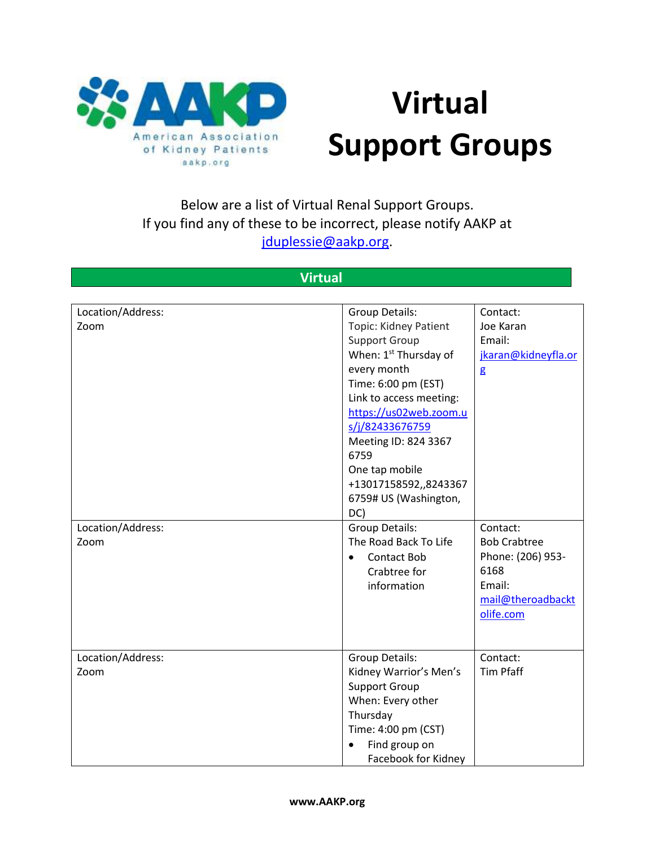

## **Virtual Support Groups**

## Below are a list of Virtual Renal Support Groups. If you find any of these to be incorrect, please notify AAKP at [jduplessie@aakp.org.](mailto:jduplessie@aakp.org)

## **Virtual**

| Location/Address: | <b>Group Details:</b>             | Contact:            |
|-------------------|-----------------------------------|---------------------|
| Zoom              | Topic: Kidney Patient             | Joe Karan           |
|                   | <b>Support Group</b>              | Email:              |
|                   | When: 1 <sup>st</sup> Thursday of | jkaran@kidneyfla.or |
|                   | every month                       | $\mathbf{g}$        |
|                   | Time: 6:00 pm (EST)               |                     |
|                   | Link to access meeting:           |                     |
|                   | https://us02web.zoom.u            |                     |
|                   | s/j/82433676759                   |                     |
|                   | Meeting ID: 824 3367              |                     |
|                   | 6759                              |                     |
|                   | One tap mobile                    |                     |
|                   | +13017158592,,8243367             |                     |
|                   | 6759# US (Washington,             |                     |
|                   | DC)                               |                     |
| Location/Address: | Group Details:                    | Contact:            |
| Zoom              | The Road Back To Life             | <b>Bob Crabtree</b> |
|                   | <b>Contact Bob</b>                | Phone: (206) 953-   |
|                   | Crabtree for                      | 6168                |
|                   | information                       | Email:              |
|                   |                                   | mail@theroadbackt   |
|                   |                                   | olife.com           |
|                   |                                   |                     |
|                   |                                   |                     |
| Location/Address: | <b>Group Details:</b>             | Contact:            |
| Zoom              | Kidney Warrior's Men's            | <b>Tim Pfaff</b>    |
|                   | <b>Support Group</b>              |                     |
|                   | When: Every other                 |                     |
|                   | Thursday                          |                     |
|                   | Time: 4:00 pm (CST)               |                     |
|                   | Find group on<br>$\bullet$        |                     |
|                   | Facebook for Kidney               |                     |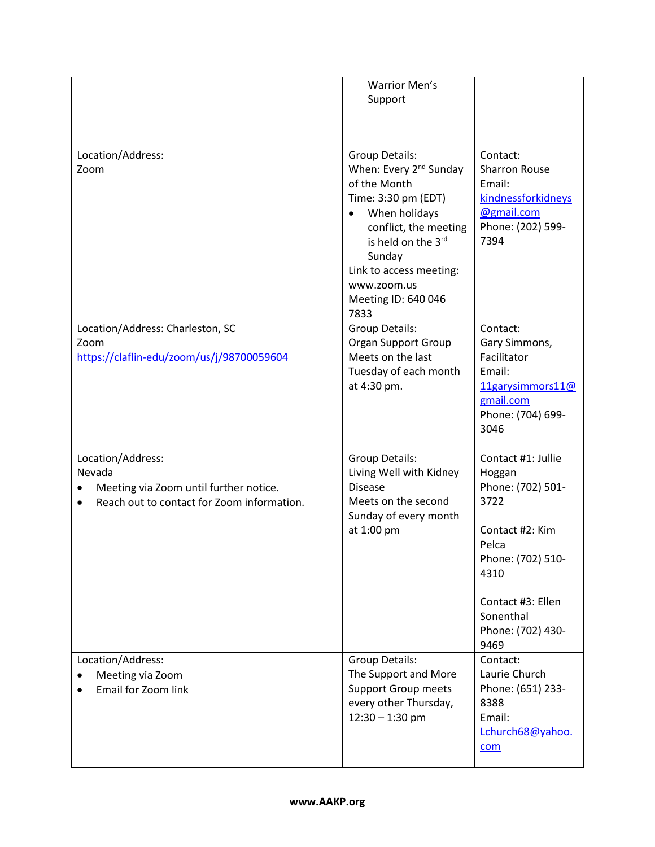|                                            | <b>Warrior Men's</b>               |                      |
|--------------------------------------------|------------------------------------|----------------------|
|                                            | Support                            |                      |
|                                            |                                    |                      |
|                                            |                                    |                      |
|                                            |                                    |                      |
| Location/Address:                          | <b>Group Details:</b>              | Contact:             |
| Zoom                                       | When: Every 2 <sup>nd</sup> Sunday | <b>Sharron Rouse</b> |
|                                            | of the Month                       | Email:               |
|                                            | Time: 3:30 pm (EDT)                | kindnessforkidneys   |
|                                            | When holidays<br>$\bullet$         | @gmail.com           |
|                                            | conflict, the meeting              | Phone: (202) 599-    |
|                                            | is held on the 3rd                 | 7394                 |
|                                            | Sunday                             |                      |
|                                            | Link to access meeting:            |                      |
|                                            | www.zoom.us                        |                      |
|                                            | Meeting ID: 640 046                |                      |
|                                            | 7833                               |                      |
| Location/Address: Charleston, SC           | Group Details:                     | Contact:             |
| Zoom                                       | <b>Organ Support Group</b>         | Gary Simmons,        |
| https://claflin-edu/zoom/us/j/98700059604  | Meets on the last                  | Facilitator          |
|                                            | Tuesday of each month              | Email:               |
|                                            | at 4:30 pm.                        | 11garysimmors11@     |
|                                            |                                    | gmail.com            |
|                                            |                                    | Phone: (704) 699-    |
|                                            |                                    | 3046                 |
|                                            |                                    |                      |
| Location/Address:                          | Group Details:                     | Contact #1: Jullie   |
| Nevada                                     | Living Well with Kidney            | Hoggan               |
| Meeting via Zoom until further notice.     | <b>Disease</b>                     | Phone: (702) 501-    |
| Reach out to contact for Zoom information. | Meets on the second                | 3722                 |
|                                            | Sunday of every month              |                      |
|                                            | at 1:00 pm                         | Contact #2: Kim      |
|                                            |                                    | Pelca                |
|                                            |                                    | Phone: (702) 510-    |
|                                            |                                    | 4310                 |
|                                            |                                    |                      |
|                                            |                                    | Contact #3: Ellen    |
|                                            |                                    | Sonenthal            |
|                                            |                                    | Phone: (702) 430-    |
|                                            |                                    | 9469                 |
| Location/Address:                          | Group Details:                     | Contact:             |
| Meeting via Zoom                           | The Support and More               | Laurie Church        |
| Email for Zoom link                        | <b>Support Group meets</b>         | Phone: (651) 233-    |
|                                            | every other Thursday,              | 8388                 |
|                                            | $12:30 - 1:30$ pm                  | Email:               |
|                                            |                                    | Lchurch68@yahoo.     |
|                                            |                                    | com                  |
|                                            |                                    |                      |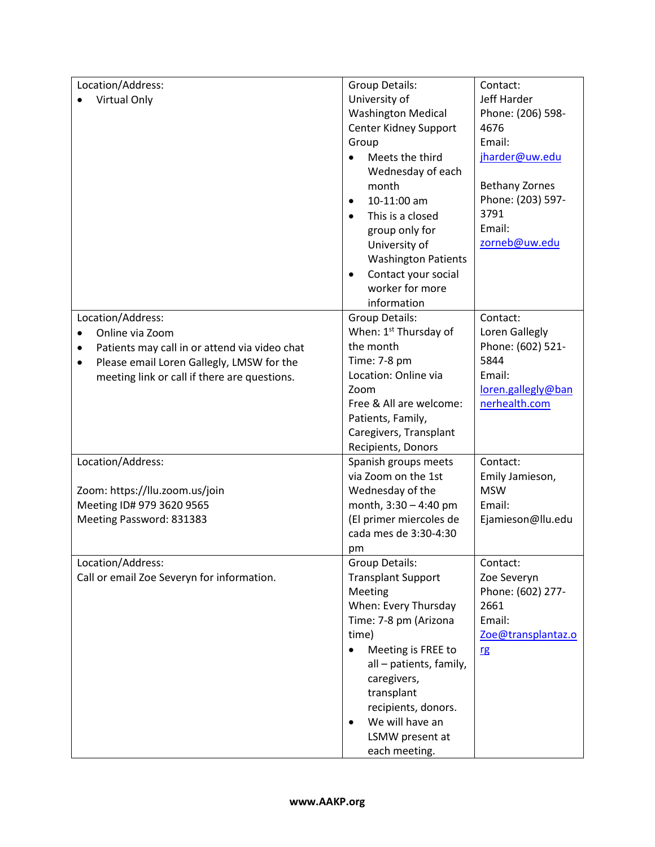| Location/Address:                                          | Group Details:                    | Contact:              |
|------------------------------------------------------------|-----------------------------------|-----------------------|
| Virtual Only                                               | University of                     | Jeff Harder           |
|                                                            | <b>Washington Medical</b>         | Phone: (206) 598-     |
|                                                            | Center Kidney Support             | 4676                  |
|                                                            | Group                             | Email:                |
|                                                            | Meets the third                   | jharder@uw.edu        |
|                                                            | Wednesday of each                 |                       |
|                                                            | month                             | <b>Bethany Zornes</b> |
|                                                            | 10-11:00 am<br>$\bullet$          | Phone: (203) 597-     |
|                                                            | This is a closed<br>$\bullet$     | 3791                  |
|                                                            | group only for                    | Email:                |
|                                                            | University of                     | zorneb@uw.edu         |
|                                                            | <b>Washington Patients</b>        |                       |
|                                                            | Contact your social<br>$\bullet$  |                       |
|                                                            | worker for more                   |                       |
|                                                            | information                       |                       |
| Location/Address:                                          | Group Details:                    | Contact:              |
| Online via Zoom<br>$\bullet$                               | When: 1 <sup>st</sup> Thursday of | Loren Gallegly        |
| Patients may call in or attend via video chat<br>$\bullet$ | the month                         | Phone: (602) 521-     |
| Please email Loren Gallegly, LMSW for the<br>$\bullet$     | Time: 7-8 pm                      | 5844                  |
| meeting link or call if there are questions.               | Location: Online via              | Email:                |
|                                                            | Zoom                              | loren.gallegly@ban    |
|                                                            | Free & All are welcome:           | nerhealth.com         |
|                                                            | Patients, Family,                 |                       |
|                                                            | Caregivers, Transplant            |                       |
|                                                            | Recipients, Donors                |                       |
| Location/Address:                                          | Spanish groups meets              | Contact:              |
|                                                            | via Zoom on the 1st               | Emily Jamieson,       |
| Zoom: https://llu.zoom.us/join                             | Wednesday of the                  | <b>MSW</b>            |
| Meeting ID# 979 3620 9565                                  | month, 3:30 - 4:40 pm             | Email:                |
| Meeting Password: 831383                                   | (El primer miercoles de           | Ejamieson@llu.edu     |
|                                                            | cada mes de 3:30-4:30             |                       |
|                                                            | pm                                |                       |
| Location/Address:                                          | Group Details:                    | Contact:              |
| Call or email Zoe Severyn for information.                 | <b>Transplant Support</b>         | Zoe Severyn           |
|                                                            | Meeting                           | Phone: (602) 277-     |
|                                                            | When: Every Thursday              | 2661                  |
|                                                            | Time: 7-8 pm (Arizona             | Email:                |
|                                                            | time)                             | Zoe@transplantaz.o    |
|                                                            | Meeting is FREE to<br>$\bullet$   | <u>rg</u>             |
|                                                            | all - patients, family,           |                       |
|                                                            | caregivers,                       |                       |
|                                                            | transplant                        |                       |
|                                                            | recipients, donors.               |                       |
|                                                            | We will have an<br>$\bullet$      |                       |
|                                                            | LSMW present at                   |                       |
|                                                            | each meeting.                     |                       |